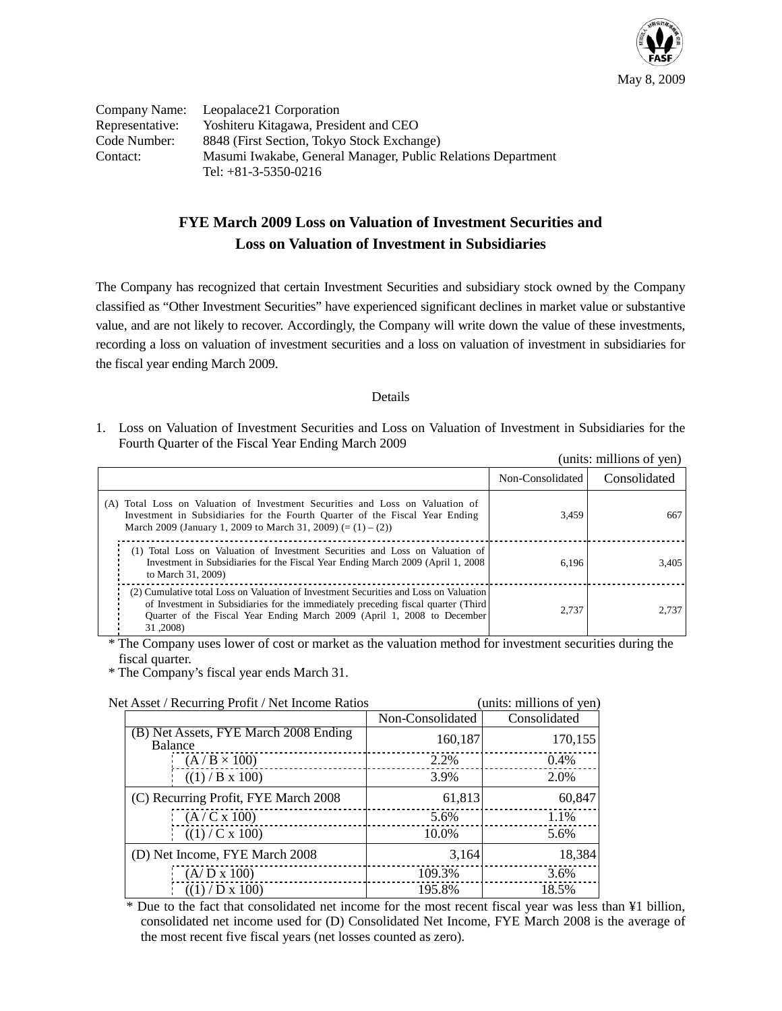

|                 | Company Name: Leopalace21 Corporation                        |
|-----------------|--------------------------------------------------------------|
| Representative: | Yoshiteru Kitagawa, President and CEO                        |
| Code Number:    | 8848 (First Section, Tokyo Stock Exchange)                   |
| Contact:        | Masumi Iwakabe, General Manager, Public Relations Department |
|                 | Tel: $+81-3-5350-0216$                                       |

## **FYE March 2009 Loss on Valuation of Investment Securities and Loss on Valuation of Investment in Subsidiaries**

The Company has recognized that certain Investment Securities and subsidiary stock owned by the Company classified as "Other Investment Securities" have experienced significant declines in market value or substantive value, and are not likely to recover. Accordingly, the Company will write down the value of these investments, recording a loss on valuation of investment securities and a loss on valuation of investment in subsidiaries for the fiscal year ending March 2009.

## Details

1. Loss on Valuation of Investment Securities and Loss on Valuation of Investment in Subsidiaries for the Fourth Quarter of the Fiscal Year Ending March 2009

| (units: millions of yen)                                                                                                                                                                                                                                          |                  |              |
|-------------------------------------------------------------------------------------------------------------------------------------------------------------------------------------------------------------------------------------------------------------------|------------------|--------------|
|                                                                                                                                                                                                                                                                   | Non-Consolidated | Consolidated |
| (A) Total Loss on Valuation of Investment Securities and Loss on Valuation of<br>Investment in Subsidiaries for the Fourth Quarter of the Fiscal Year Ending<br>March 2009 (January 1, 2009 to March 31, 2009) $(=(1)-(2))$                                       | 3,459            | 667          |
| (1) Total Loss on Valuation of Investment Securities and Loss on Valuation of<br>Investment in Subsidiaries for the Fiscal Year Ending March 2009 (April 1, 2008)<br>to March 31, 2009)                                                                           | 6.196            | 3,405        |
| (2) Cumulative total Loss on Valuation of Investment Securities and Loss on Valuation<br>of Investment in Subsidiaries for the immediately preceding fiscal quarter (Third<br>Quarter of the Fiscal Year Ending March 2009 (April 1, 2008 to December<br>31,2008) | 2.737            | 2,737        |

\* The Company uses lower of cost or market as the valuation method for investment securities during the fiscal quarter.

\* The Company's fiscal year ends March 31.

| a Asset / Recurring I form / Feet income Ratios  |                  | $\mu$ mus, mumons or $\mu$ us |
|--------------------------------------------------|------------------|-------------------------------|
|                                                  | Non-Consolidated | Consolidated                  |
| (B) Net Assets, FYE March 2008 Ending<br>Balance | 160,187          | 170,155                       |
| $(A/B \times 100)$                               | 2.2%             | $0.4\%$                       |
| $((1)$ / B x 100)                                | 3.9%             | 2.0%                          |
| (C) Recurring Profit, FYE March 2008             | 61,813           | 60,847                        |
| (A/C x 100)                                      | 5.6%             | 1.1%                          |
| ((1) / C x 100)                                  | 10.0%            | 5.6%                          |
| (D) Net Income, FYE March 2008                   | 3,164            | 18,384                        |
| $(A/D \times 100)$                               | 109.3%           | 3.6%                          |
| ((1) / D x 100)                                  | 195.8%           | 18.5%                         |

Net Asset / Recurring Profit / Net Income Ratios (units: millions of ven)

\* Due to the fact that consolidated net income for the most recent fiscal year was less than ¥1 billion, consolidated net income used for (D) Consolidated Net Income, FYE March 2008 is the average of the most recent five fiscal years (net losses counted as zero).